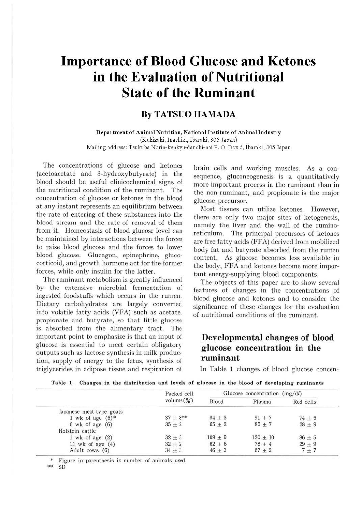# **Importance of Blood Glucose and Ketones in the Evaluation of Nutritional State of the Ruminant**

## **By TATSUO HAMADA**

**Department of Animal Nutrition, National Institute of Animal Industry**  (Kukizaki, Inashiki, Ibaraki, 305 Japan) Mailing address: Tsukuba Norin-kenkyu-danchi-nai P. 0. Box 5, lbaraki, 305 Japan

The concentrations of glucose and ketones (acetoacetate and 3-hydroxybutyrate) in the blood should be useful clinicochemical signs of the nutritional condition of the ruminant. The concentration of glucose or ketones in the blood at any instant represents an equilibrium between the rate of entering of these substances into the blood stream and the rate of removal of them from it. Homeostasis of blood glucose level can be maintained by interactions between the forces to raise blood glucose and the forces to lower blood glucose. Glucagon, epinephrine, glucocorticoid, and growth hormone act for the former forces, while only insulin for the latter.

The ruminant metabolism is greatly influenced by the extensive microbial fermentation of ingested foodstuffs which occurs in the rumen. Dietary carbohydrates are largely converted into volatile fatty acids (VFA) such as acetate, propionate and butyrate, so that little glucose is absorbed from the alimentary tract. The important point to emphasize is that an input of glucose is essential to meet certain obligatory outputs such as lactose synthesis in milk production, supply of energy to the fetus, synthesis of triglycerides in adipose tissue and respiration of

brain cells and working muscles. As a consequence, gluconeogenesis is a quantitatively more important process in the ruminant than in the non-ruminant, and propionate is the major glucose precursor.

Most tissues can utilize ketones. However, there are only two major sites of ketogenesis, namely the liver and the wall of the ruminoreticulum. The principal precursors of ketones are free fatty acids (FFA) derived from mobilized body fat and butyrate absorbed from the rumen content. As glucose becomes less available in the body, FFA and ketones become more important energy-supplying blood components.

The objects of this paper are to show several features of changes in the concentrations of blood glucose and ketones and to consider the significance of these changes for the evaluation of nutritional conditions of the ruminant.

### **Developmental changes of blood glucose concentration in the ruminant**

In Table 1 changes of blood glucose concen-

**Table 1. Changes in the distribution and levels of g lucose in the blood of developing ruminants** 

|                          | Packed cell<br>volume $(\%)$ | Glucose concentration $(mg/dl)$ |            |            |
|--------------------------|------------------------------|---------------------------------|------------|------------|
|                          |                              | Blood                           | Plasma     | Red cells  |
| Japanese meat-type goats |                              |                                 |            |            |
| 1 wk of age $(6)$ *      | $37 + 8$ **                  | $84 + 3$                        | $91 + 7$   | $74 \pm 5$ |
| $6$ wk of age $(6)$      | $35 + 2$                     | $65 + 2$                        | $85 + 7$   | $28 \pm 9$ |
| Holstein cattle          |                              |                                 |            |            |
| $1$ wk of age $(2)$      | $32 \pm 3$                   | $109 + 9$                       | $120 + 10$ | $86 + 5$   |
| 11 wk of age $(4)$       | $32 \pm 2$                   | $62 + 6$                        | $78 + 4$   | $29 + 9$   |
| Adult cows (6)           | $34 + 3$                     | $46 \pm 3$                      | $67 + 2$   | $7 + 7$    |

Figure in parenthesis is number of animals used.

\*\* SD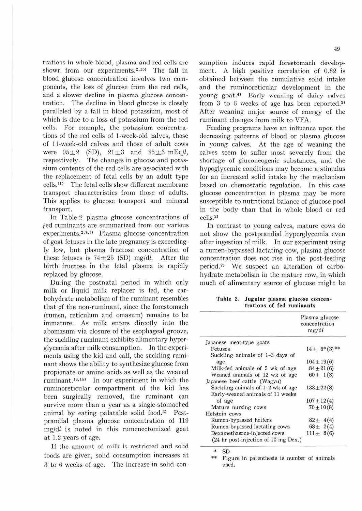trations in whole blood, plasma and red cells are shown from our experiments.<sup>2,15)</sup> The fall in blood glucose concentration involves two components, the loss of glucose from the red cells, and a slower decline in plasma glucose concentration. The decline in blood glucose is closely paralleled by a fall in blood potassium, most of which is due to a loss of potassium from the red cells. For example, the potassium concentrations of the red cells of 1-week-old calves, those of 11-week-old calves and those of adult cows were  $95\pm2$  (SD),  $21\pm3$  and  $25\pm3$  mEq $\ell$ , respectively. The changes in glucose and potassium contents of the red cells are associated with the replacement of fetal cells by an adult type cells.<sup>11)</sup> The fetal cells show different membrane transport characteristics from those of adults. This applies to glucose transport and mineral transport.

In Table 2 plasma glucose concentrations of fed ruminants are summarized from our various experiments.<sup>2,7,9)</sup> Plasma glucose concentration of goat fetuses in the late pregnancy is exceedingly low, but plasma fructose concentration of these fetuses is  $74\pm 25$  (SD) mg/dl. After the birth fructose in the fetal plasma is rapidly replaced by glucose.

During the postnatal period in which only milk or Jiquid milk replacer is fed, the carbohydrate metabolism of the ruminant resembles that of the non-rumjnant, since the forestomach (rumen, reticulum and omasum} remains to be immature. As milk enters directly into the abomasum via closure of the esophageal groove, the suckling ruminant exhibits alimentary hyperglycemia after milk consumption. In the experiments using the kid and calf, the suckling ruminant shows the ability to synthesize glucose from propionate or amino acids as well as the weaned ruminant.<sup>13,15)</sup> In our experiment in which the ruminoreticular compartment of the kid has been surgically removed, the ruminant can survive more than a year as a single-stomached animal by eating palatable solid food.<sup>3)</sup> Postprandial plasma glucose concentration of 119  $mg/dl$  is noted in this rumenectomized goat at 1.2 years of age.

If the amount of milk is restricted and solid foods are given, solid consumption increases at 3 to 6 weeks of age. The increase in solid consumption induces rapid forestomach development. A high positive correlation of 0.82 is obtained between the cumulative solid intake and the ruminoreticular development in the young goat.4> Early weaning of dairy calves from  $3$  to  $6$  weeks of age has been reported.<sup>2)</sup> After weaning major source of energy of the ruminant changes from milk to VFA.

Feeding programs have an influence upon the decreasing patterns of blood or plasma glucose in young calves. At the age of weaning the calves seem to suffer most severely from the shortage of gluconeogenic substances, and the hypoglycemic conditions may become a stimulus for an increased solid intake by the mechanism based on chemostatic regulation. In this case glucose concentration in plasma may be more susceptible to nutritional balance of glucose pool in the body than that in whole blood or red cells. 2l

In contrast to young calves, mature cows do not show the postprandial hyperglycemia even after ingestion of milk. In our experiment using a rumen-bypassed lactating cow, plasma glucose concentration does not rise in the post-feeding period.<sup>7)</sup> We suspect an alteration of carbohydrate metabolism in the mature cow, in which much of alimentary source of glucose might be

Table 2. Jugular plasma glucose concen**trations of fed ruminants** 

|                                      | Plasma glucose<br>concentration<br>mg/dl |
|--------------------------------------|------------------------------------------|
| Japanese meat-type goats             |                                          |
| Fetuses                              | $14 \pm 6^{*}(3)$                        |
| Suckling animals of 1-3 days of      |                                          |
| age                                  | $104 \pm 19(6)$                          |
| Milk-fed animals of 5 wk of age      | $84 \pm 21(6)$                           |
| Weaned animals of 12 wk of age       | $60 \pm 1(3)$                            |
| Japanese beef cattle (Wagyu)         |                                          |
| Suckling animals of 1-2 wk of age    | $133 \pm 22(8)$                          |
| Early-weaned animals of 11 weeks     |                                          |
| of age                               | $107 \pm 12(4)$                          |
| Mature nursing cows                  | $70 \pm 10(8)$                           |
| Holstein cows                        |                                          |
| Rumen-bypassed heifers               | $82 \pm 4(4)$                            |
| Rumen-bypassed lactating cows        | $68 \pm 2(4)$                            |
| Dexamethasone-injected cows          | $111 \pm 8(6)$                           |
| (24 hr post-injection of 10 mg Dex.) |                                          |

 $*$  SD<br> $*$  Fig

Figure in parenthesis is number of animals used.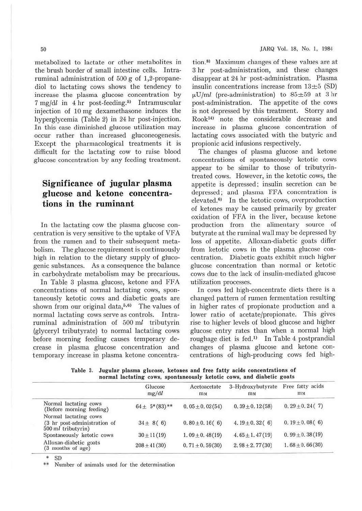metabolized to lactate or other metabolites in the brush border of small intestine cells. Intraruminal administration of  $500 g$  of 1,2-propanediol to lactating cows shows the tendency to increase the plasma glucose concentration by  $7 \text{ mg}/\text{d}l$  in  $4 \text{ hr}$  post-feeding.<sup>5)</sup> Intramuscular injection of 10 mg dexamethasone induces the hyperglycemia (Table 2) in 24 hr post-injection. In this case diminished glucose utilization may ,occur rather than increased gluconeogenesis. Except the pharmacological treatments it is difficult for the lactating cow to raise blood .glucose concentration by any feeding treatment.

### **Significance of jugular plasma glucose and ketone concentrations in the ruminant**

In the lactating cow the plasma glucose con centration is very sensitive to the uptake of VFA from the rumen and to their subsequent metabolism. The glucose requirement is continuously high in relation to the dietary supply of glucogenic substances. As a consequence the balance in carbohydrate metabolism may be precarious.

In Table 3 plasma glucose, ketone and FFA -concentrations of normal lactating cows, spontaneously ketotic cows and diabetic goats are shown from our original data, $5,6$ <sup>3</sup> The values of normal lactating cows serve as controls. Intraruminal administration of 500 ml tributyrin (glyceryl tributyrate) to normal lactating cows before morning feeding causes temporary decrease in plasma glucose concentration and temporary increase in plasma ketone concentration.<sup>8)</sup> Maximum changes of these values are at 3 hr post-administration, and these changes disappear at 24 hr post-administration. Plasma insulin concentrations increase from  $13\pm5$  (SD)  $\mu$ U/ml (pre-administration) to  $85\pm59$  at 3 hr post-administration. The appetite of the cows is not depressed by this treatment. Storry and Rook14> note the considerable decrease and increase in plasma glucose concentration of lactating cows associated with the butyric and propionic acid infusions respectively.

The changes of plasma glucose and ketone concentrations of spontaneously ketotic cows appear to be similar to those of tributyrintreated cows. However, in the ketotic cows, the appetite is depressed; insulin secretion can be depressed; and plasma FFA concentration is elevated.<sup>6)</sup> In the ketotic cows, overproduction of ketones may be caused primarily by greater oxidation of FFA in the liver, because ketone production from the alimentary source of butyrate at the ruminal wall may be depressed by loss of appetite. Alloxan-diabetic goats differ from ketotic cows in the plasma glucose concentration. Diabetic goats exhibit much higher glucose concentration than normal or ketotic cows due to the lack of insulin-mediated glucose utilization processes.

In cows fed high-concentrate diets there is a changed pattern of rumen fermentation resulting in higher rates of propionate production and a lower ratio of acetate/propionate. This gives rise to higher levels of blood glucose and higher glucose entry rates than when a normal high roughage diet is fed.<sup>1)</sup> In Table 4 postprandial changes of plasma glucose and ketone concentrations of high-producing cows feel high-

**Table** 3. **Jugular plasma glucose, ketones and free fatty acids concentrations of normal lactating cows, spontaneously ketotic cows, and diabetic goats** 

|                                                                             | Glucose<br>mg/dl   | Acetoacetate<br>m <sub>M</sub> | 3-Hydroxybutyrate<br>mM | Free fatty acids<br><b>m</b> M |
|-----------------------------------------------------------------------------|--------------------|--------------------------------|-------------------------|--------------------------------|
| Normal lactating cows<br>(Before morning feeding)                           | $64 \pm 5*(83)$ ** | $0.05 \pm 0.02(54)$            | $0.39 \pm 0.12(58)$     | $0.29 \pm 0.24(7)$             |
| Normal lactating cows<br>(3 hr post-administration of<br>500 ml tributyrin) | $34 \pm 8(6)$      | $0.80 \pm 0.16(6)$             | 4.19 ± 0.32 $(6)$       | $0.19 \pm 0.08$ (6)            |
| Spontaneously ketotic cows                                                  | $30 \pm 11(19)$    | $1.09 \pm 0.48(19)$            | $4.65 \pm 1.47(19)$     | $0.99 \pm 0.38(19)$            |
| Alloxan-diabetic goats<br>(3 months of age)                                 | $208 \pm 41(30)$   | $0.71 \pm 0.59(30)$            | $2.98 \pm 2.77(30)$     | $1.68 \pm 0.66(30)$            |

 $SD$ 

Number of animals used for the determination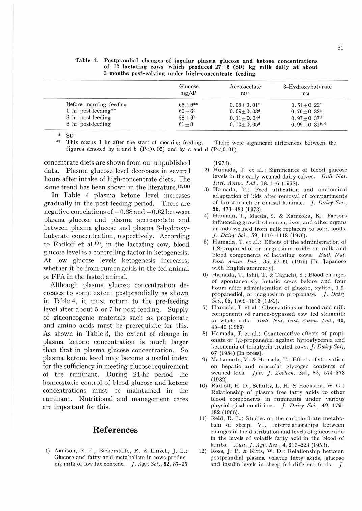|                        | Glucose       | Acetoacetate               | 3-Hydroxybutyrate          |
|------------------------|---------------|----------------------------|----------------------------|
|                        | mg/dl         | m <sub>M</sub>             | m <sub>M</sub>             |
| Before morning feeding | $66 + 6^{*a}$ | $0.05 + 0.01$ <sup>c</sup> | $0.51 + 0.22^{\circ}$      |
| 1 hr post-feeding**    | $60 + 6b$     | $0.09 + 0.03d$             | $0.70 + 0.32^a$            |
| 3 hr post-feeding      | $58 + 9^b$    | $0.11 + 0.04d$             | $0.97 + 0.37$ <sup>d</sup> |
| 5 hr post-feeding      | $61 \pm 8$    | $0.10 + 0.05$ <sup>d</sup> | $0.99 + 0.31b,d$           |

**Table 4. Postprandial changes of jugular plasma glucose and ketone concentrations**  of 12 lactating cows which produced  $27 \pm 5$  (SD) kg milk daily at about

 $*$  SD

This means 1 hr after the start of morning feeding. There were significant differences between the figures denoted by a and b  $(P<0.05)$  and by c and d  $(P<0.01)$ .

concentrate diets are shown from our unpublished data. Plasma glucose level decreases in several hours after intake of high-concentrate diets. The same trend has been shown in the literature.<sup>12,16)</sup>

In Table 4 plasma ketone level increases gradually in the post-feeding period. There are negative correlations of  $-0.68$  and  $-0.62$  between plasma glucose and plasma acetoacetate and between plasma glucose and plasma 3-hydroxybutyrate concentration, respectively. According to Radloff et al. $10$ <sup>10</sup>, in the lactating cow, blood glucose level is a controlling factor in ketogenesis. At low glucose levels ketogenesis increases, whether it be from rumen acids in the fed animal or FFA in the fasted animal

Although plasma glucose concentration decreases to some extent postprandially as shown in Table 4, it must return to the pre-feeding level after about 5 or 7 hr post-feeding. Supply of gluconeogenic materials such as propionate and amino acids must be prerequisite for this. As shown in Table 3, the extent of change in plasma ketone concentration is much larger than that in plasma glucose concentration. So plasma ketone level may become a useful index for the sufficiency in meeting glucose requirement of the ruminant. During 24-hr period the homeostatic control of blood glucose and ketone concentrations must be maintained in the ruminant. Nutritional and management cares are important for this.

#### $Ref$ erences

I} Annison, E. F., Bickerstaffe, R. & Linzell, J. L.: Glucose and fatty acid metabolism in cows producing milk of low fat content. *J. Agr. Sci.*, 82, 87-95

(1974).

- 2) Hamada, T. et al.: Significance of blood glucose levels in the early-weaned daixy calves. *Bull. Nat. 111st. Anim. 111d.,* 18, 1-6 (1968).
- 3) Hamada, T.: Feed utilization and anatomical adaptation of kids after removal of compartments of forestomach or omasal laminae. J. *Dairy Sci.,*  56, 473-483 (1973).
- 4) Hamada, T., Maeda, S. & Kameoka, K.: Factors influencing growth of rumen, liver, and other organs in kids weaned from milk replacers to solid foods. *] . Dairy Sci.*, 59, 1110-1118 (1976).
- 5) Hamada, T. et al.: Effects of the administration of 1,2-propanediol or magnesium oxide on milk and blood components of lactating cows. Bull. Nat. *Inst. Anim. Ind.*, 35, 57-60 (1979) [In Japanese with English summary].
- 6) Hamada, T., Ishii, T. & Taguchi, S.: Blood changes of spontaneously ketotic cows before and four hours after administration of glucose, xylitol, J,2 propanediol, or magnesium propionate. *J. Dairy* Sci., 65, 1509-1513 (1982).
- 7) Hamada, T. et al.: Observations on blood and milk components of rumen-bypassed cow fed skimmilk or whole milk. *Bull. Nat. Inst. Anim. Ind.*, 40, 45- 49 (1983).
- 8) Hamada, T. et al.: Counteractive effects of propionate or 1,2-propanediol against hypoglycemia and ketonemia of tributyrin-treated cows. *J. Dairy Sci.*, 67 (1984) (In press}.
- 9) Matsumoto, M. & Hamada, T.: Effects of starvation on hepatic and muscular glycogen contents of weaned kids. *Jpn. ] . Zoofcch. Sci. ,* 53, 574-578 (1982).
- 10) Radloff, H. D., Schultz, L. H. & Hoekstra, \\r. G.: Relationship of plasma free fatty acids to other blood components in ruminants under various physiological conditions. *J. Dairy Sci.*, 49, 179-182 (1966).
- 11) Reid, R. L.: Studies on the carbohydrate metabolism of sheep. VI. Interrelationships between changes in the distribution and levels of glucose and in the levels of volatile fatty acid in the blood of lambs. *Aust. J. Agr. Res.,* 4, 213-223 (1953).
- 12) Ross, J. P. & Kitts, W. D.: Relationship between postprandial plasma. volatile fatty acids, glucose and insulin levels in sheep fed different feeds. *J*.